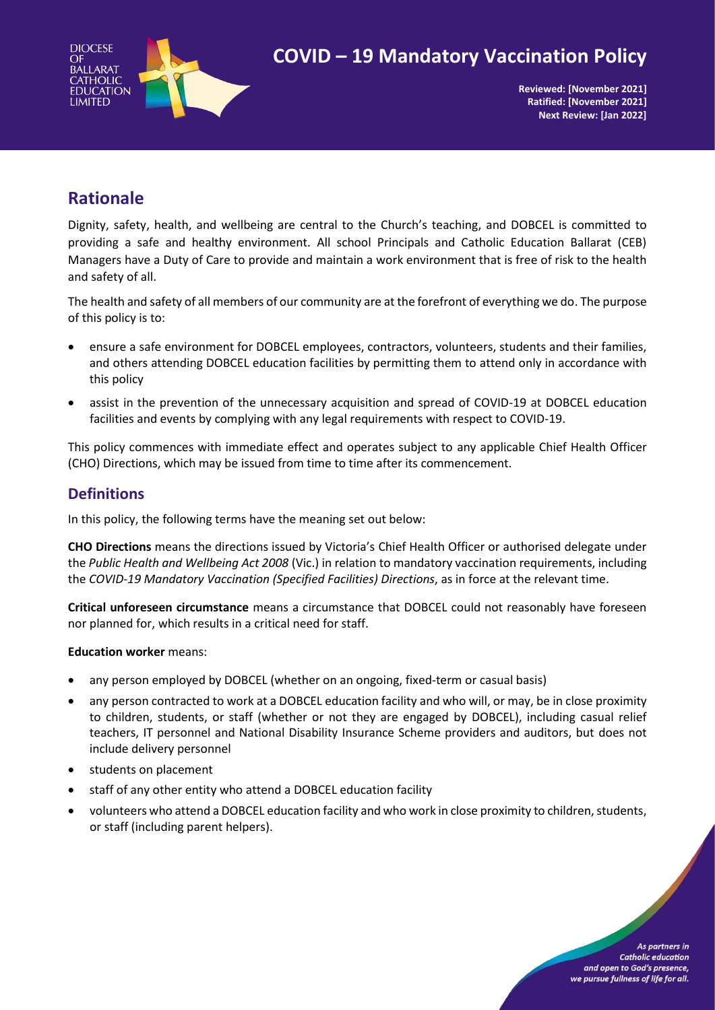

# **COVID – 19 Mandatory Vaccination Policy**

**Reviewed: [November 2021] Ratified: [November 2021] Next Review: [Jan 2022]**

# **Rationale**

Dignity, safety, health, and wellbeing are central to the Church's teaching, and DOBCEL is committed to providing a safe and healthy environment. All school Principals and Catholic Education Ballarat (CEB) Managers have a Duty of Care to provide and maintain a work environment that is free of risk to the health and safety of all.

The health and safety of all members of our community are at the forefront of everything we do. The purpose of this policy is to:

- ensure a safe environment for DOBCEL employees, contractors, volunteers, students and their families, and others attending DOBCEL education facilities by permitting them to attend only in accordance with this policy
- assist in the prevention of the unnecessary acquisition and spread of COVID-19 at DOBCEL education facilities and events by complying with any legal requirements with respect to COVID-19.

This policy commences with immediate effect and operates subject to any applicable Chief Health Officer (CHO) Directions, which may be issued from time to time after its commencement.

### **Definitions**

In this policy, the following terms have the meaning set out below:

**CHO Directions** means the directions issued by Victoria's Chief Health Officer or authorised delegate under the *Public Health and Wellbeing Act 2008* (Vic.) in relation to mandatory vaccination requirements, including the *COVID-19 Mandatory Vaccination (Specified Facilities) Directions*, as in force at the relevant time.

**Critical unforeseen circumstance** means a circumstance that DOBCEL could not reasonably have foreseen nor planned for, which results in a critical need for staff.

#### **Education worker** means:

- any person employed by DOBCEL (whether on an ongoing, fixed-term or casual basis)
- any person contracted to work at a DOBCEL education facility and who will, or may, be in close proximity to children, students, or staff (whether or not they are engaged by DOBCEL), including casual relief teachers, IT personnel and National Disability Insurance Scheme providers and auditors, but does not include delivery personnel
- students on placement
- staff of any other entity who attend a DOBCEL education facility
- volunteers who attend a DOBCEL education facility and who work in close proximity to children, students, or staff (including parent helpers).

As partners in **Catholic education** and open to God's presence. we pursue fullness of life for all.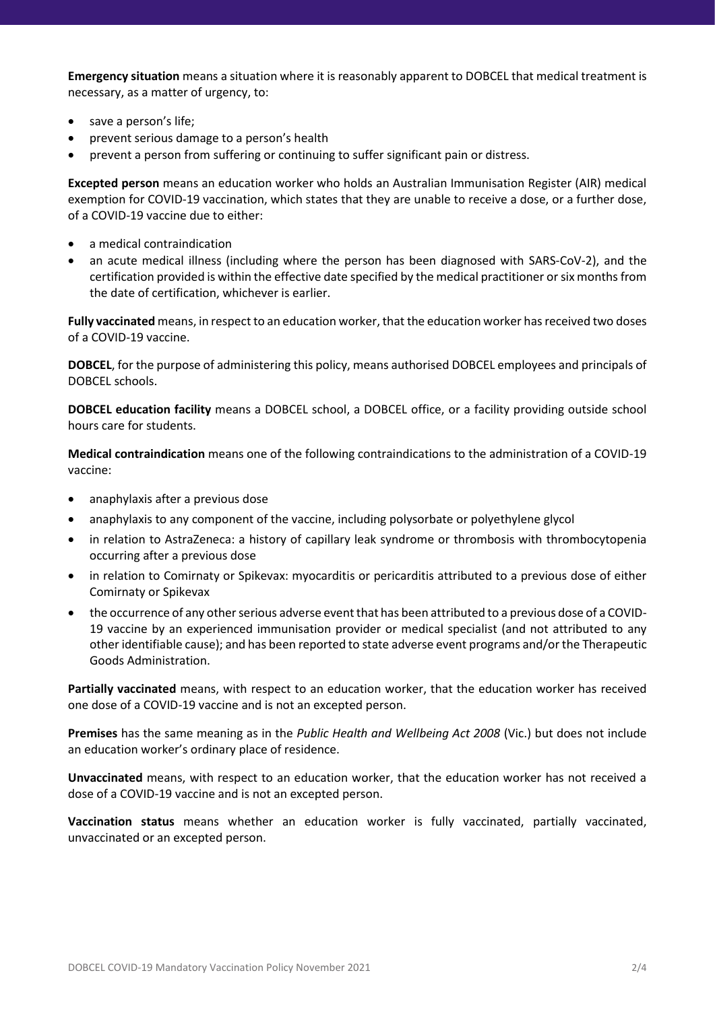**Emergency situation** means a situation where it is reasonably apparent to DOBCEL that medical treatment is necessary, as a matter of urgency, to:

- save a person's life;
- prevent serious damage to a person's health
- prevent a person from suffering or continuing to suffer significant pain or distress.

**Excepted person** means an education worker who holds an Australian Immunisation Register (AIR) medical exemption for COVID-19 vaccination, which states that they are unable to receive a dose, or a further dose, of a COVID-19 vaccine due to either:

- a medical contraindication
- an acute medical illness (including where the person has been diagnosed with SARS-CoV-2), and the certification provided is within the effective date specified by the medical practitioner or six months from the date of certification, whichever is earlier.

**Fully vaccinated** means, in respect to an education worker, that the education worker has received two doses of a COVID-19 vaccine.

**DOBCEL**, for the purpose of administering this policy, means authorised DOBCEL employees and principals of DOBCEL schools.

**DOBCEL education facility** means a DOBCEL school, a DOBCEL office, or a facility providing outside school hours care for students.

**Medical contraindication** means one of the following contraindications to the administration of a COVID-19 vaccine:

- anaphylaxis after a previous dose
- anaphylaxis to any component of the vaccine, including polysorbate or polyethylene glycol
- in relation to AstraZeneca: a history of capillary leak syndrome or thrombosis with thrombocytopenia occurring after a previous dose
- in relation to Comirnaty or Spikevax: myocarditis or pericarditis attributed to a previous dose of either Comirnaty or Spikevax
- the occurrence of any other serious adverse event that has been attributed to a previous dose of a COVID-19 vaccine by an experienced immunisation provider or medical specialist (and not attributed to any other identifiable cause); and has been reported to state adverse event programs and/or the Therapeutic Goods Administration.

**Partially vaccinated** means, with respect to an education worker, that the education worker has received one dose of a COVID-19 vaccine and is not an excepted person.

**Premises** has the same meaning as in the *Public Health and Wellbeing Act 2008* (Vic.) but does not include an education worker's ordinary place of residence.

**Unvaccinated** means, with respect to an education worker, that the education worker has not received a dose of a COVID-19 vaccine and is not an excepted person.

**Vaccination status** means whether an education worker is fully vaccinated, partially vaccinated, unvaccinated or an excepted person.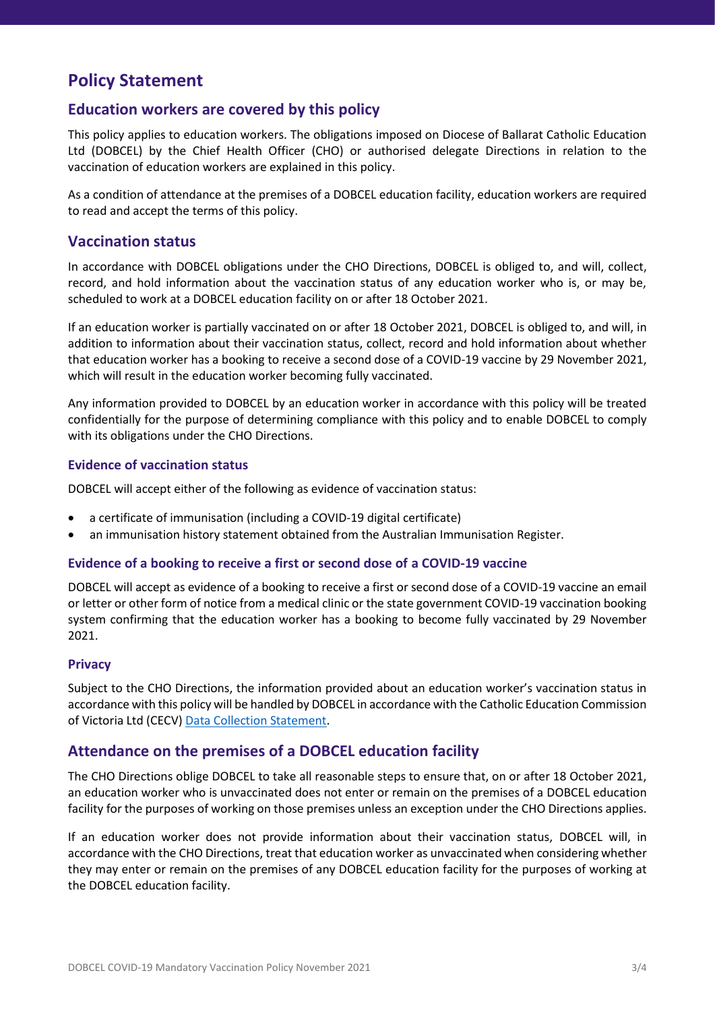# **Policy Statement**

### **Education workers are covered by this policy**

This policy applies to education workers. The obligations imposed on Diocese of Ballarat Catholic Education Ltd (DOBCEL) by the Chief Health Officer (CHO) or authorised delegate Directions in relation to the vaccination of education workers are explained in this policy.

As a condition of attendance at the premises of a DOBCEL education facility, education workers are required to read and accept the terms of this policy.

### **Vaccination status**

In accordance with DOBCEL obligations under the CHO Directions, DOBCEL is obliged to, and will, collect, record, and hold information about the vaccination status of any education worker who is, or may be, scheduled to work at a DOBCEL education facility on or after 18 October 2021.

If an education worker is partially vaccinated on or after 18 October 2021, DOBCEL is obliged to, and will, in addition to information about their vaccination status, collect, record and hold information about whether that education worker has a booking to receive a second dose of a COVID-19 vaccine by 29 November 2021, which will result in the education worker becoming fully vaccinated.

Any information provided to DOBCEL by an education worker in accordance with this policy will be treated confidentially for the purpose of determining compliance with this policy and to enable DOBCEL to comply with its obligations under the CHO Directions.

#### **Evidence of vaccination status**

DOBCEL will accept either of the following as evidence of vaccination status:

- a certificate of immunisation (including a COVID-19 digital certificate)
- an immunisation history statement obtained from the Australian Immunisation Register.

#### **Evidence of a booking to receive a first or second dose of a COVID-19 vaccine**

DOBCEL will accept as evidence of a booking to receive a first or second dose of a COVID-19 vaccine an email or letter or other form of notice from a medical clinic or the state government COVID-19 vaccination booking system confirming that the education worker has a booking to become fully vaccinated by 29 November 2021.

#### **Privacy**

Subject to the CHO Directions, the information provided about an education worker's vaccination status in accordance with this policy will be handled by DOBCEL in accordance with the Catholic Education Commission of Victoria Ltd (CECV[\) Data Collection Statement.](https://www.cecv.catholic.edu.au/Footer/Privacy-Policy)

#### **Attendance on the premises of a DOBCEL education facility**

The CHO Directions oblige DOBCEL to take all reasonable steps to ensure that, on or after 18 October 2021, an education worker who is unvaccinated does not enter or remain on the premises of a DOBCEL education facility for the purposes of working on those premises unless an exception under the CHO Directions applies.

If an education worker does not provide information about their vaccination status, DOBCEL will, in accordance with the CHO Directions, treat that education worker as unvaccinated when considering whether they may enter or remain on the premises of any DOBCEL education facility for the purposes of working at the DOBCEL education facility.